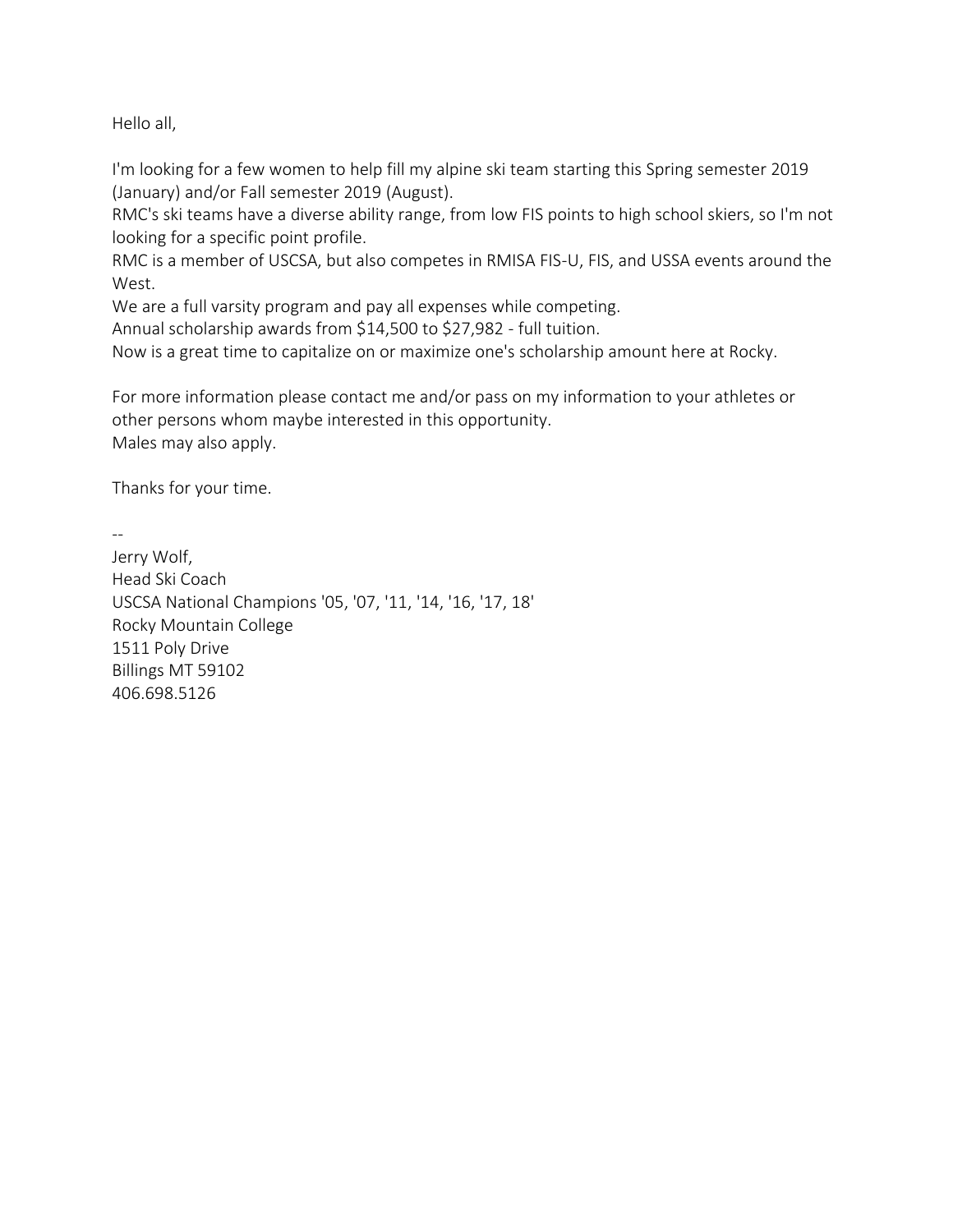Hello all,

I'm looking for a few women to help fill my alpine ski team starting this Spring semester 2019 (January) and/or Fall semester 2019 (August).

RMC's ski teams have a diverse ability range, from low FIS points to high school skiers, so I'm not looking for a specific point profile.

RMC is a member of USCSA, but also competes in RMISA FIS-U, FIS, and USSA events around the West.

We are a full varsity program and pay all expenses while competing.

Annual scholarship awards from \$14,500 to \$27,982 - full tuition.

Now is a great time to capitalize on or maximize one's scholarship amount here at Rocky.

For more information please contact me and/or pass on my information to your athletes or other persons whom maybe interested in this opportunity. Males may also apply.

Thanks for your time.

--

Jerry Wolf, Head Ski Coach USCSA National Champions '05, '07, '11, '14, '16, '17, 18' Rocky Mountain College 1511 Poly Drive Billings MT 59102 406.698.5126